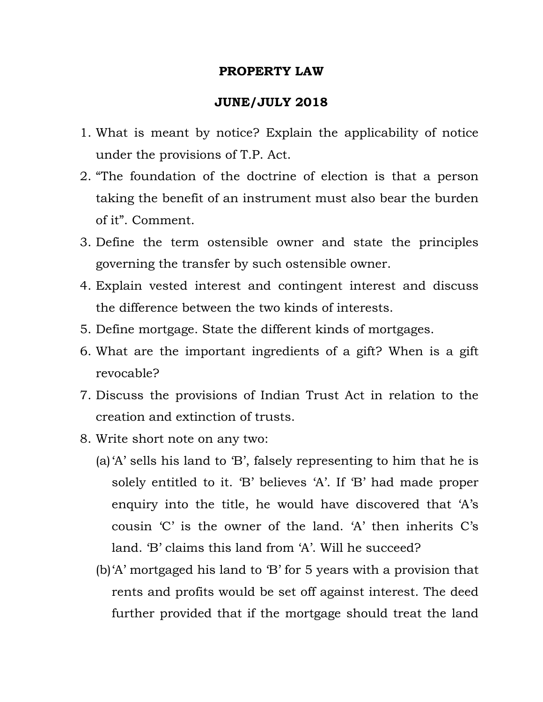## **PROPERTY LAW**

## **JUNE/JULY 2018**

- 1. What is meant by notice? Explain the applicability of notice under the provisions of T.P. Act.
- 2. "The foundation of the doctrine of election is that a person taking the benefit of an instrument must also bear the burden of it". Comment.
- 3. Define the term ostensible owner and state the principles governing the transfer by such ostensible owner.
- 4. Explain vested interest and contingent interest and discuss the difference between the two kinds of interests.
- 5. Define mortgage. State the different kinds of mortgages.
- 6. What are the important ingredients of a gift? When is a gift revocable?
- 7. Discuss the provisions of Indian Trust Act in relation to the creation and extinction of trusts.
- 8. Write short note on any two:
	- (a)'A' sells his land to 'B', falsely representing to him that he is solely entitled to it. 'B' believes 'A'. If 'B' had made proper enquiry into the title, he would have discovered that 'A's cousin 'C' is the owner of the land. 'A' then inherits C's land. 'B' claims this land from 'A'. Will he succeed?
	- (b)'A' mortgaged his land to 'B' for 5 years with a provision that rents and profits would be set off against interest. The deed further provided that if the mortgage should treat the land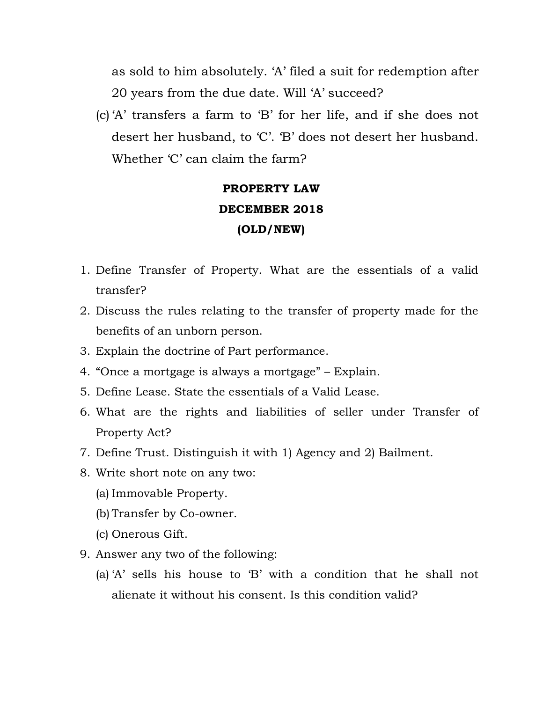as sold to him absolutely. 'A' filed a suit for redemption after 20 years from the due date. Will 'A' succeed?

(c) 'A' transfers a farm to 'B' for her life, and if she does not desert her husband, to 'C'. 'B' does not desert her husband. Whether 'C' can claim the farm?

## **PROPERTY LAW DECEMBER 2018 (OLD/NEW)**

- 1. Define Transfer of Property. What are the essentials of a valid transfer?
- 2. Discuss the rules relating to the transfer of property made for the benefits of an unborn person.
- 3. Explain the doctrine of Part performance.
- 4. "Once a mortgage is always a mortgage" Explain.
- 5. Define Lease. State the essentials of a Valid Lease.
- 6. What are the rights and liabilities of seller under Transfer of Property Act?
- 7. Define Trust. Distinguish it with 1) Agency and 2) Bailment.
- 8. Write short note on any two:
	- (a) Immovable Property.
	- (b) Transfer by Co-owner.
	- (c) Onerous Gift.
- 9. Answer any two of the following:
	- (a) 'A' sells his house to 'B' with a condition that he shall not alienate it without his consent. Is this condition valid?